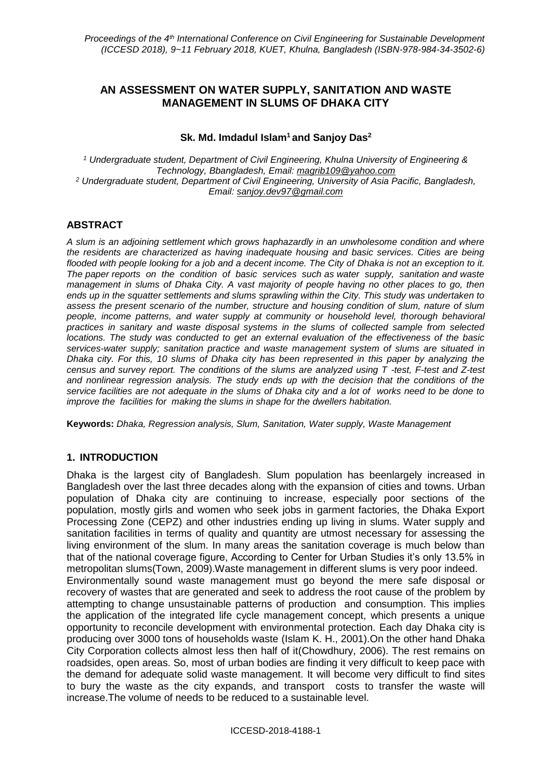# **AN ASSESSMENT ON WATER SUPPLY, SANITATION AND WASTE MANAGEMENT IN SLUMS OF DHAKA CITY**

#### **Sk. Md. Imdadul Islam<sup>1</sup> and Sanjoy Das<sup>2</sup>**

*<sup>1</sup> Undergraduate student, Department of Civil Engineering, Khulna University of Engineering & Technology, Bbangladesh, Email: [magrib109@yahoo.com](../Downloads/magrib109@yahoo.com) <sup>2</sup> Undergraduate student, Department of Civil Engineering, University of Asia Pacific, Bangladesh, Email: [sanjoy.dev97@gmail.com](mailto:sanjoy.dev97@gmail.com)*

#### **ABSTRACT**

*A slum is an adjoining settlement which grows haphazardly in an unwholesome condition and where the residents are characterized as having inadequate housing and basic services. Cities are being flooded with people looking for a job and a decent income. The City of Dhaka is not an exception to it. The paper reports on the condition of basic services such as water supply, sanitation and waste management in slums of Dhaka City. A vast majority of people having no other places to go, then ends up in the squatter settlements and slums sprawling within the City. This study was undertaken to assess the present scenario of the number, structure and housing condition of slum, nature of slum people, income patterns, and water supply at community or household level, thorough behavioral practices in sanitary and waste disposal systems in the slums of collected sample from selected locations. The study was conducted to get an external evaluation of the effectiveness of the basic services-water supply; sanitation practice and waste management system of slums are situated in Dhaka city. For this, 10 slums of Dhaka city has been represented in this paper by analyzing the census and survey report. The conditions of the slums are analyzed using T -test, F-test and Z-test and nonlinear regression analysis. The study ends up with the decision that the conditions of the service facilities are not adequate in the slums of Dhaka city and a lot of works need to be done to improve the facilities for making the slums in shape for the dwellers habitation.*

**Keywords:** *Dhaka, Regression analysis, Slum, Sanitation, Water supply, Waste Management* 

#### **1. INTRODUCTION**

Dhaka is the largest city of Bangladesh. Slum population has beenlargely increased in Bangladesh over the last three decades along with the expansion of cities and towns. Urban population of Dhaka city are continuing to increase, especially poor sections of the population, mostly girls and women who seek jobs in garment factories, the Dhaka Export Processing Zone (CEPZ) and other industries ending up living in slums. Water supply and sanitation facilities in terms of quality and quantity are utmost necessary for assessing the living environment of the slum. In many areas the sanitation coverage is much below than that of the national coverage figure, According to Center for Urban Studies it's only 13.5% in metropolitan slums(Town, 2009).Waste management in different slums is very poor indeed. Environmentally sound waste management must go beyond the mere safe disposal or recovery of wastes that are generated and seek to address the root cause of the problem by attempting to change unsustainable patterns of production and consumption. This implies the application of the integrated life cycle management concept, which presents a unique opportunity to reconcile development with environmental protection. Each day Dhaka city is producing over 3000 tons of households waste (Islam K. H., 2001).On the other hand Dhaka City Corporation collects almost less then half of it(Chowdhury, 2006). The rest remains on roadsides, open areas. So, most of urban bodies are finding it very difficult to keep pace with the demand for adequate solid waste management. It will become very difficult to find sites to bury the waste as the city expands, and transport costs to transfer the waste will increase.The volume of needs to be reduced to a sustainable level.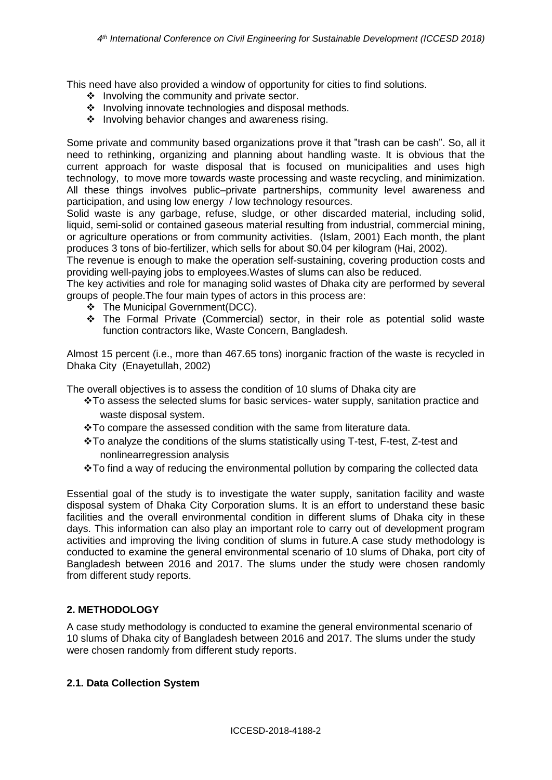This need have also provided a window of opportunity for cities to find solutions.

- ❖ Involving the community and private sector.
- ❖ Involving innovate technologies and disposal methods.
- ❖ Involving behavior changes and awareness rising.

Some private and community based organizations prove it that "trash can be cash". So, all it need to rethinking, organizing and planning about handling waste. It is obvious that the current approach for waste disposal that is focused on municipalities and uses high technology, to move more towards waste processing and waste recycling, and minimization. All these things involves public–private partnerships, community level awareness and participation, and using low energy / low technology resources.

Solid waste is any garbage, refuse, sludge, or other discarded material, including solid, liquid, semi-solid or contained gaseous material resulting from industrial, commercial mining, or agriculture operations or from community activities. (Islam, 2001) Each month, the plant produces 3 tons of bio-fertilizer, which sells for about \$0.04 per kilogram (Hai, 2002).

The revenue is enough to make the operation self-sustaining, covering production costs and providing well-paying jobs to employees.Wastes of slums can also be reduced.

The key activities and role for managing solid wastes of Dhaka city are performed by several groups of people.The four main types of actors in this process are:

- ❖ The Municipal Government(DCC).
- ❖ The Formal Private (Commercial) sector, in their role as potential solid waste function contractors like, Waste Concern, Bangladesh.

Almost 15 percent (i.e., more than 467.65 tons) inorganic fraction of the waste is recycled in Dhaka City (Enayetullah, 2002)

The overall objectives is to assess the condition of 10 slums of Dhaka city are

- ❖To assess the selected slums for basic services- water supply, sanitation practice and waste disposal system.
- ❖To compare the assessed condition with the same from literature data.
- ❖To analyze the conditions of the slums statistically using T-test, F-test, Z-test and nonlinearregression analysis
- ❖To find a way of reducing the environmental pollution by comparing the collected data

Essential goal of the study is to investigate the water supply, sanitation facility and waste disposal system of Dhaka City Corporation slums. It is an effort to understand these basic facilities and the overall environmental condition in different slums of Dhaka city in these days. This information can also play an important role to carry out of development program activities and improving the living condition of slums in future.A case study methodology is conducted to examine the general environmental scenario of 10 slums of Dhaka, port city of Bangladesh between 2016 and 2017. The slums under the study were chosen randomly from different study reports.

## **2. METHODOLOGY**

A case study methodology is conducted to examine the general environmental scenario of 10 slums of Dhaka city of Bangladesh between 2016 and 2017. The slums under the study were chosen randomly from different study reports.

#### **2.1. Data Collection System**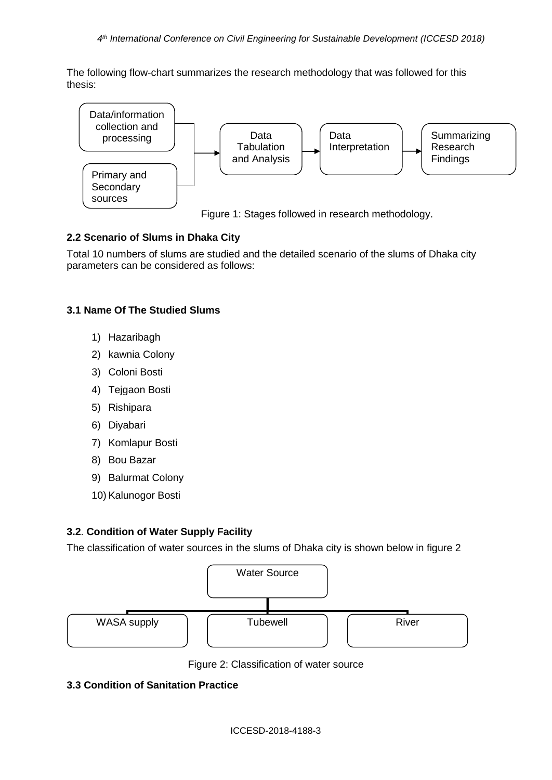The following flow-chart summarizes the research methodology that was followed for this thesis:



Figure 1: Stages followed in research methodology.

# **2.2 Scenario of Slums in Dhaka City**

Total 10 numbers of slums are studied and the detailed scenario of the slums of Dhaka city parameters can be considered as follows:

## **3.1 Name Of The Studied Slums**

- 1) Hazaribagh
- 2) kawnia Colony
- 3) Coloni Bosti
- 4) Tejgaon Bosti
- 5) Rishipara
- 6) Diyabari
- 7) Komlapur Bosti
- 8) Bou Bazar
- 9) Balurmat Colony
- 10) Kalunogor Bosti

## **3.2**. **Condition of Water Supply Facility**

The classification of water sources in the slums of Dhaka city is shown below in figure 2



Figure 2: Classification of water source

# **3.3 Condition of Sanitation Practice**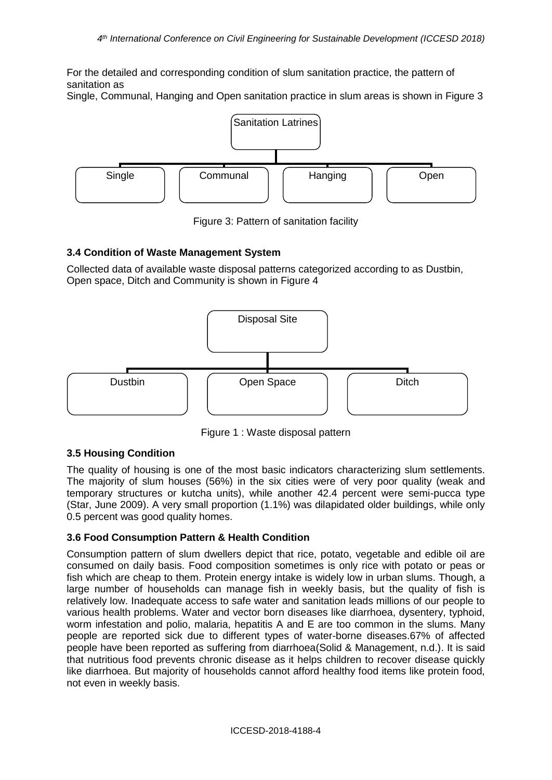For the detailed and corresponding condition of slum sanitation practice, the pattern of sanitation as

Single, Communal, Hanging and Open sanitation practice in slum areas is shown in Figure 3



Figure 3: Pattern of sanitation facility

## **3.4 Condition of Waste Management System**

Collected data of available waste disposal patterns categorized according to as Dustbin, Open space, Ditch and Community is shown in Figure 4



Figure 1 : Waste disposal pattern

## **3.5 Housing Condition**

The quality of housing is one of the most basic indicators characterizing slum settlements. The majority of slum houses (56%) in the six cities were of very poor quality (weak and temporary structures or kutcha units), while another 42.4 percent were semi-pucca type (Star, June 2009). A very small proportion (1.1%) was dilapidated older buildings, while only 0.5 percent was good quality homes.

## **3.6 Food Consumption Pattern & Health Condition**

Consumption pattern of slum dwellers depict that rice, potato, vegetable and edible oil are consumed on daily basis. Food composition sometimes is only rice with potato or peas or fish which are cheap to them. Protein energy intake is widely low in urban slums. Though, a large number of households can manage fish in weekly basis, but the quality of fish is relatively low. Inadequate access to safe water and sanitation leads millions of our people to various health problems. Water and vector born diseases like diarrhoea, dysentery, typhoid, worm infestation and polio, malaria, hepatitis A and E are too common in the slums. Many people are reported sick due to different types of water-borne diseases.67% of affected people have been reported as suffering from diarrhoea(Solid & Management, n.d.). It is said that nutritious food prevents chronic disease as it helps children to recover disease quickly like diarrhoea. But majority of households cannot afford healthy food items like protein food, not even in weekly basis.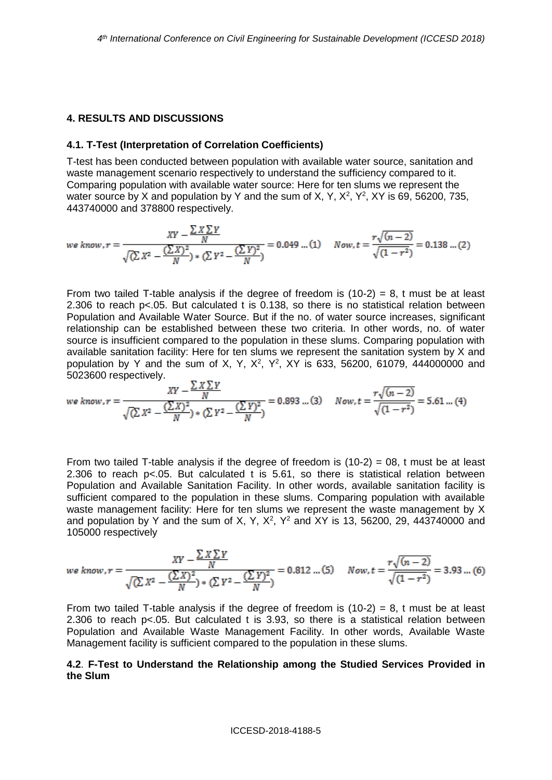#### **4. RESULTS AND DISCUSSIONS**

#### **4.1. T-Test (Interpretation of Correlation Coefficients)**

T-test has been conducted between population with available water source, sanitation and waste management scenario respectively to understand the sufficiency compared to it. Comparing population with available water source: Here for ten slums we represent the water source by X and population by Y and the sum of X, Y,  $X^2$ ,  $Y^2$ , XY is 69, 56200, 735, 443740000 and 378800 respectively.

$$
we know, r = \frac{XY - \frac{\sum X \sum Y}{N}}{\sqrt{(\sum X^2 - \frac{(\sum X)^2}{N}) * (\sum Y^2 - \frac{(\sum Y)^2}{N})}} = 0.049 \dots (1) \quad Now, t = \frac{r\sqrt{(n-2)}}{\sqrt{(1-r^2)}} = 0.138 \dots (2)
$$

From two tailed T-table analysis if the degree of freedom is  $(10-2) = 8$ , t must be at least 2.306 to reach p<.05. But calculated t is 0.138, so there is no statistical relation between Population and Available Water Source. But if the no. of water source increases, significant relationship can be established between these two criteria. In other words, no. of water source is insufficient compared to the population in these slums. Comparing population with available sanitation facility: Here for ten slums we represent the sanitation system by X and population by Y and the sum of X, Y,  $X^2$ ,  $Y^2$ , XY is 633, 56200, 61079, 444000000 and 5023600 respectively.

$$
we know.r = \frac{XY - \frac{\sum X \sum Y}{N}}{\sqrt{(\sum X^2 - \frac{(\sum X)^2}{N}) * (\sum Y^2 - \frac{(\sum Y)^2}{N})}}
$$
 = 0.893 ... (3) Now,  $t = \frac{r\sqrt{(n-2)}}{\sqrt{(1-r^2)}}$  = 5.61 ... (4)

From two tailed T-table analysis if the degree of freedom is  $(10-2) = 08$ , t must be at least 2.306 to reach p<.05. But calculated t is 5.61, so there is statistical relation between Population and Available Sanitation Facility. In other words, available sanitation facility is sufficient compared to the population in these slums. Comparing population with available waste management facility: Here for ten slums we represent the waste management by X and population by Y and the sum of X, Y,  $X^2$ ,  $Y^2$  and XY is 13, 56200, 29, 443740000 and 105000 respectively

$$
we know.r = \frac{XY - \frac{\sum X \sum Y}{N}}{\sqrt{(\sum X^2 - \frac{(\sum X)^2}{N})^2 + (\sum Y^2 - \frac{(\sum Y)^2}{N})^2}} = 0.812 \dots (5) \quad Now, t = \frac{r\sqrt{(n-2)}}{\sqrt{(1-r^2)}} = 3.93 \dots (6)
$$

From two tailed T-table analysis if the degree of freedom is  $(10-2) = 8$ , t must be at least 2.306 to reach p<.05. But calculated t is 3.93, so there is a statistical relation between Population and Available Waste Management Facility. In other words, Available Waste Management facility is sufficient compared to the population in these slums.

#### **4.2**. **F-Test to Understand the Relationship among the Studied Services Provided in the Slum**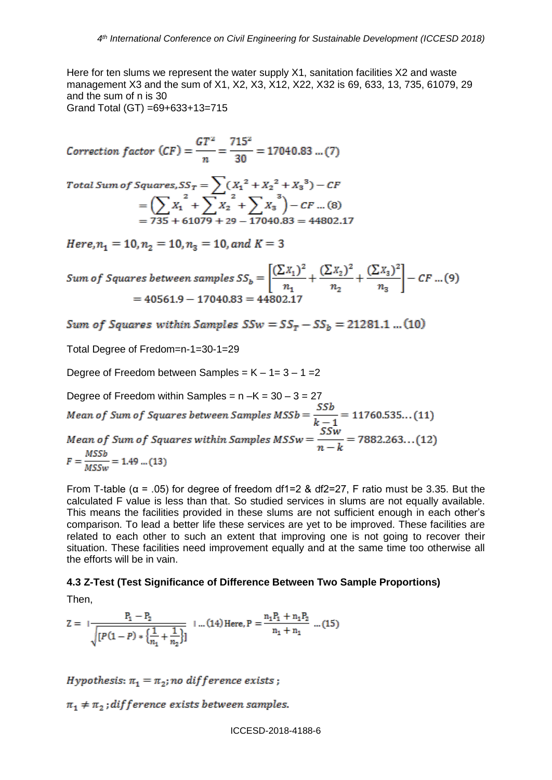Here for ten slums we represent the water supply X1, sanitation facilities X2 and waste management X3 and the sum of X1, X2, X3, X12, X22, X32 is 69, 633, 13, 735, 61079, 29 and the sum of n is 30 Grand Total (GT) =69+633+13=715

Correction factor  $(CF) = \frac{GT^2}{T} = \frac{715^2}{30} = 17040.83 ... (7)$ 

Total Sum of Squares, 
$$
SS_T = \sum (X_1^2 + X_2^2 + X_3^3) - CF
$$
  
=  $\left(\sum X_1^2 + \sum X_2^2 + \sum X_3^3\right) - CF$  ...(8)  
= 735 + 61079 + 29 - 17040.83 = 44802.17

Here,  $n_1 = 10$ ,  $n_2 = 10$ ,  $n_3 = 10$ , and  $K = 3$ 

Sum of Squares between samples  $SS_b = \left[\frac{(\sum X_1)^2}{n_1} + \frac{(\sum X_2)^2}{n_2} + \frac{(\sum X_3)^2}{n_3}\right] - CF$  ...(9)  $= 40561.9 - 17040.83 = 44802.17$ 

Sum of Squares within Samples  $SSw = SS_r - SS_b = 21281.1$  ... (10)

Total Degree of Fredom=n-1=30-1=29

Degree of Freedom between Samples =  $K - 1 = 3 - 1 = 2$ 

Degree of Freedom within Samples = n –K = 30 – 3 = 27<br>Mean of Sum of Squares between Samples  $MSSb = \frac{SSb}{k-1} = 11760.535...(11)$ Mean of Sum of Squares within Samples  $MSSw = \frac{SSw}{n-k} = 7882.263...(12)$  $F = \frac{MSSb}{MSSw} = 1.49$  ... (13)

From T-table ( $\alpha$  = .05) for degree of freedom df1=2 & df2=27, F ratio must be 3.35. But the calculated F value is less than that. So studied services in slums are not equally available. This means the facilities provided in these slums are not sufficient enough in each other's comparison. To lead a better life these services are yet to be improved. These facilities are related to each other to such an extent that improving one is not going to recover their situation. These facilities need improvement equally and at the same time too otherwise all the efforts will be in vain.

## **4.3 Z-Test (Test Significance of Difference Between Two Sample Proportions)**

Then,

$$
Z = \frac{P_1 - P_2}{\sqrt{[P(1 - P) * \left\{\frac{1}{n_1} + \frac{1}{n_2}\right\}]}} \quad \dots (14) \text{ Here, } P = \frac{n_1 P_1 + n_1 P_2}{n_1 + n_1} \dots (15)
$$

Hypothesis:  $\pi_1 = \pi_2$ ; no difference exists;

 $\pi_1 \neq \pi_2$ ; difference exists between samples.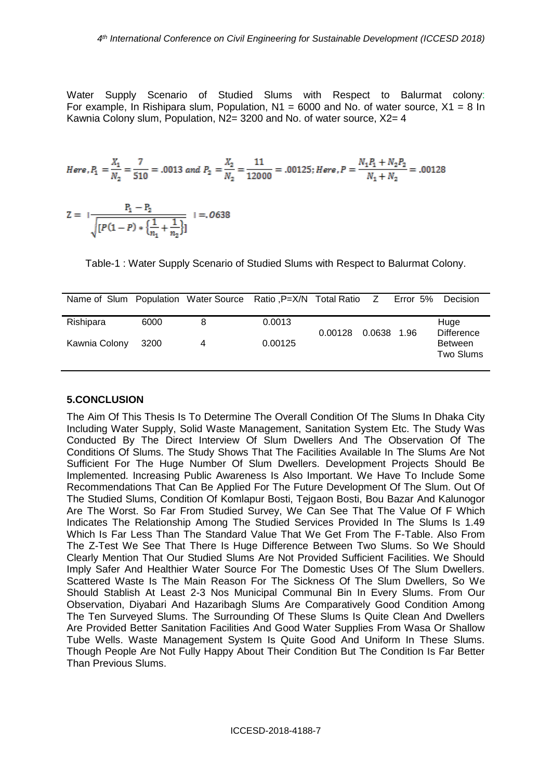Water Supply Scenario of Studied Slums with Respect to Balurmat colony: For example, In Rishipara slum, Population,  $N1 = 6000$  and No. of water source,  $X1 = 8$  In Kawnia Colony slum, Population, N2= 3200 and No. of water source, X2= 4

Here, 
$$
P_1 = \frac{X_1}{N_2} = \frac{7}{510} = .0013
$$
 and  $P_2 = \frac{X_2}{N_2} = \frac{11}{12000} = .00125$ ; Here,  $P = \frac{N_1 P_1 + N_2 P_2}{N_1 + N_2} = .00128$ 

$$
Z = \frac{P_1 - P_2}{\sqrt{[P(1 - P) * \left\{\frac{1}{n_1} + \frac{1}{n_2}\right\}]} } = .0638
$$

Table-1 : Water Supply Scenario of Studied Slums with Respect to Balurmat Colony.

| Name of Slum Population Water Source Ratio, P=X/N Total Ratio Z |      |   |         |         |        | Error 5% | Decision                    |
|-----------------------------------------------------------------|------|---|---------|---------|--------|----------|-----------------------------|
| Rishipara                                                       | 6000 | 8 | 0.0013  | 0.00128 | 0.0638 | 1.96     | Huge<br><b>Difference</b>   |
| Kawnia Colony                                                   | 3200 | 4 | 0.00125 |         |        |          | <b>Between</b><br>Two Slums |

## **5.CONCLUSION**

The Aim Of This Thesis Is To Determine The Overall Condition Of The Slums In Dhaka City Including Water Supply, Solid Waste Management, Sanitation System Etc. The Study Was Conducted By The Direct Interview Of Slum Dwellers And The Observation Of The Conditions Of Slums. The Study Shows That The Facilities Available In The Slums Are Not Sufficient For The Huge Number Of Slum Dwellers. Development Projects Should Be Implemented. Increasing Public Awareness Is Also Important. We Have To Include Some Recommendations That Can Be Applied For The Future Development Of The Slum. Out Of The Studied Slums, Condition Of Komlapur Bosti, Tejgaon Bosti, Bou Bazar And Kalunogor Are The Worst. So Far From Studied Survey, We Can See That The Value Of F Which Indicates The Relationship Among The Studied Services Provided In The Slums Is 1.49 Which Is Far Less Than The Standard Value That We Get From The F-Table. Also From The Z-Test We See That There Is Huge Difference Between Two Slums. So We Should Clearly Mention That Our Studied Slums Are Not Provided Sufficient Facilities. We Should Imply Safer And Healthier Water Source For The Domestic Uses Of The Slum Dwellers. Scattered Waste Is The Main Reason For The Sickness Of The Slum Dwellers, So We Should Stablish At Least 2-3 Nos Municipal Communal Bin In Every Slums. From Our Observation, Diyabari And Hazaribagh Slums Are Comparatively Good Condition Among The Ten Surveyed Slums. The Surrounding Of These Slums Is Quite Clean And Dwellers Are Provided Better Sanitation Facilities And Good Water Supplies From Wasa Or Shallow Tube Wells. Waste Management System Is Quite Good And Uniform In These Slums. Though People Are Not Fully Happy About Their Condition But The Condition Is Far Better Than Previous Slums.